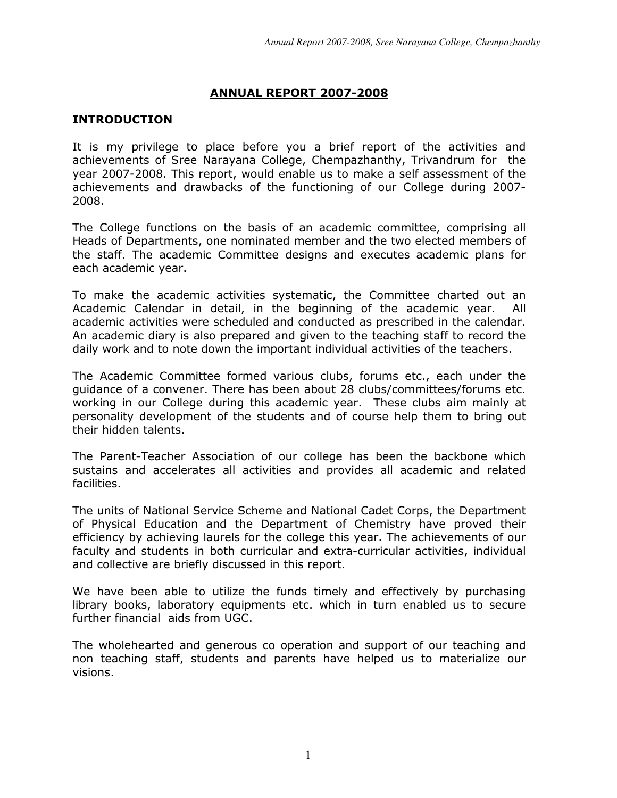# ANNUAL REPORT 2007-2008

# INTRODUCTION

It is my privilege to place before you a brief report of the activities and achievements of Sree Narayana College, Chempazhanthy, Trivandrum for the year 2007-2008. This report, would enable us to make a self assessment of the achievements and drawbacks of the functioning of our College during 2007- 2008.

The College functions on the basis of an academic committee, comprising all Heads of Departments, one nominated member and the two elected members of the staff. The academic Committee designs and executes academic plans for each academic year.

To make the academic activities systematic, the Committee charted out an Academic Calendar in detail, in the beginning of the academic year. All academic activities were scheduled and conducted as prescribed in the calendar. An academic diary is also prepared and given to the teaching staff to record the daily work and to note down the important individual activities of the teachers.

The Academic Committee formed various clubs, forums etc., each under the guidance of a convener. There has been about 28 clubs/committees/forums etc. working in our College during this academic year. These clubs aim mainly at personality development of the students and of course help them to bring out their hidden talents.

The Parent-Teacher Association of our college has been the backbone which sustains and accelerates all activities and provides all academic and related facilities.

The units of National Service Scheme and National Cadet Corps, the Department of Physical Education and the Department of Chemistry have proved their efficiency by achieving laurels for the college this year. The achievements of our faculty and students in both curricular and extra-curricular activities, individual and collective are briefly discussed in this report.

We have been able to utilize the funds timely and effectively by purchasing library books, laboratory equipments etc. which in turn enabled us to secure further financial aids from UGC.

The wholehearted and generous co operation and support of our teaching and non teaching staff, students and parents have helped us to materialize our visions.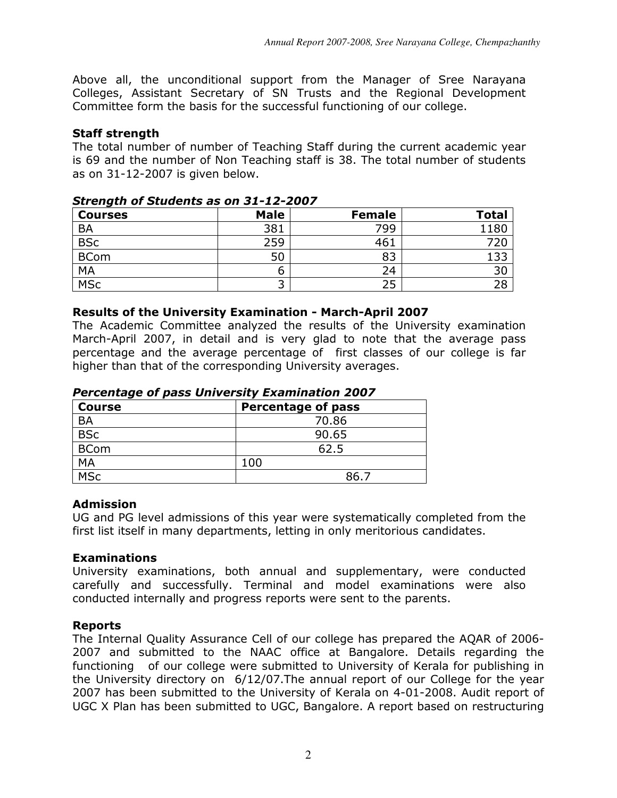Above all, the unconditional support from the Manager of Sree Narayana Colleges, Assistant Secretary of SN Trusts and the Regional Development Committee form the basis for the successful functioning of our college.

# Staff strength

The total number of number of Teaching Staff during the current academic year is 69 and the number of Non Teaching staff is 38. The total number of students as on 31-12-2007 is given below.

| <b>Courses</b>          | <b>Male</b> | <b>Female</b> | <b>Total</b> |
|-------------------------|-------------|---------------|--------------|
| <b>BA</b>               | 381         | 799           | 1180         |
| $\overline{\text{BSc}}$ | 259         | 461           |              |
| <b>BCom</b>             | 50          | 83            |              |
| <b>MA</b>               |             | 24            | 30           |
| <b>MSc</b>              | ∽           | 25            | 28           |

# Strength of Students as on 31-12-2007

# Results of the University Examination - March-April 2007

The Academic Committee analyzed the results of the University examination March-April 2007, in detail and is very glad to note that the average pass percentage and the average percentage of first classes of our college is far higher than that of the corresponding University averages.

| I creditage of pass only croity Examination 2007 |                           |  |
|--------------------------------------------------|---------------------------|--|
| <b>Course</b>                                    | <b>Percentage of pass</b> |  |
| <b>BA</b>                                        | 70.86                     |  |
| <b>BSc</b>                                       | 90.65                     |  |
| <b>BCom</b>                                      | 62.5                      |  |
| MA                                               | 100                       |  |
| <b>MSc</b>                                       | 86.7                      |  |

# Percentage of pass University Examination 2007

# Admission

UG and PG level admissions of this year were systematically completed from the first list itself in many departments, letting in only meritorious candidates.

# Examinations

University examinations, both annual and supplementary, were conducted carefully and successfully. Terminal and model examinations were also conducted internally and progress reports were sent to the parents.

# Reports

The Internal Quality Assurance Cell of our college has prepared the AQAR of 2006- 2007 and submitted to the NAAC office at Bangalore. Details regarding the functioning of our college were submitted to University of Kerala for publishing in the University directory on 6/12/07.The annual report of our College for the year 2007 has been submitted to the University of Kerala on 4-01-2008. Audit report of UGC X Plan has been submitted to UGC, Bangalore. A report based on restructuring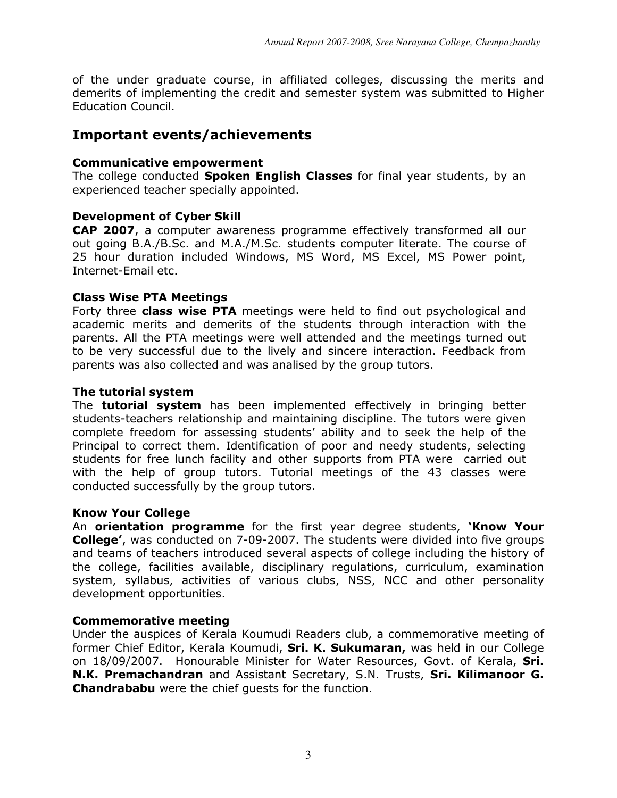of the under graduate course, in affiliated colleges, discussing the merits and demerits of implementing the credit and semester system was submitted to Higher Education Council.

# Important events/achievements

#### Communicative empowerment

The college conducted **Spoken English Classes** for final year students, by an experienced teacher specially appointed.

# Development of Cyber Skill

CAP 2007, a computer awareness programme effectively transformed all our out going B.A./B.Sc. and M.A./M.Sc. students computer literate. The course of 25 hour duration included Windows, MS Word, MS Excel, MS Power point, Internet-Email etc.

#### Class Wise PTA Meetings

Forty three **class wise PTA** meetings were held to find out psychological and academic merits and demerits of the students through interaction with the parents. All the PTA meetings were well attended and the meetings turned out to be very successful due to the lively and sincere interaction. Feedback from parents was also collected and was analised by the group tutors.

#### The tutorial system

The **tutorial system** has been implemented effectively in bringing better students-teachers relationship and maintaining discipline. The tutors were given complete freedom for assessing students' ability and to seek the help of the Principal to correct them. Identification of poor and needy students, selecting students for free lunch facility and other supports from PTA were carried out with the help of group tutors. Tutorial meetings of the 43 classes were conducted successfully by the group tutors.

#### Know Your College

An orientation programme for the first year degree students, 'Know Your College', was conducted on 7-09-2007. The students were divided into five groups and teams of teachers introduced several aspects of college including the history of the college, facilities available, disciplinary regulations, curriculum, examination system, syllabus, activities of various clubs, NSS, NCC and other personality development opportunities.

# Commemorative meeting

Under the auspices of Kerala Koumudi Readers club, a commemorative meeting of former Chief Editor, Kerala Koumudi, Sri. K. Sukumaran, was held in our College on 18/09/2007. Honourable Minister for Water Resources, Govt. of Kerala, Sri. N.K. Premachandran and Assistant Secretary, S.N. Trusts, Sri. Kilimanoor G. Chandrababu were the chief guests for the function.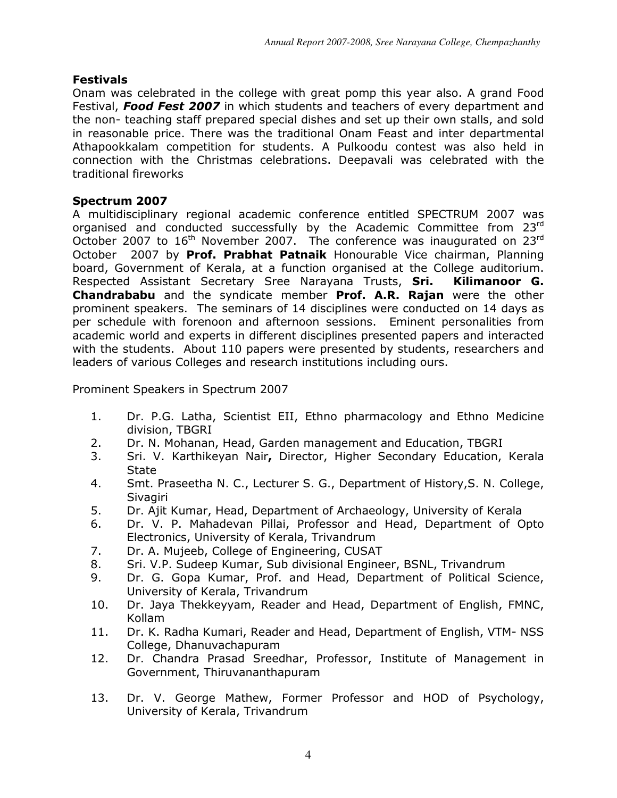# Festivals

Onam was celebrated in the college with great pomp this year also. A grand Food Festival, Food Fest 2007 in which students and teachers of every department and the non- teaching staff prepared special dishes and set up their own stalls, and sold in reasonable price. There was the traditional Onam Feast and inter departmental Athapookkalam competition for students. A Pulkoodu contest was also held in connection with the Christmas celebrations. Deepavali was celebrated with the traditional fireworks

# Spectrum 2007

A multidisciplinary regional academic conference entitled SPECTRUM 2007 was organised and conducted successfully by the Academic Committee from 23rd October 2007 to  $16<sup>th</sup>$  November 2007. The conference was inaugurated on 23 $<sup>rd</sup>$ </sup> October 2007 by Prof. Prabhat Patnaik Honourable Vice chairman, Planning board, Government of Kerala, at a function organised at the College auditorium. Respected Assistant Secretary Sree Narayana Trusts, Sri. Kilimanoor G. Chandrababu and the syndicate member Prof. A.R. Rajan were the other prominent speakers. The seminars of 14 disciplines were conducted on 14 days as per schedule with forenoon and afternoon sessions. Eminent personalities from academic world and experts in different disciplines presented papers and interacted with the students. About 110 papers were presented by students, researchers and leaders of various Colleges and research institutions including ours.

Prominent Speakers in Spectrum 2007

- 1. Dr. P.G. Latha, Scientist EII, Ethno pharmacology and Ethno Medicine division, TBGRI
- 2. Dr. N. Mohanan, Head, Garden management and Education, TBGRI
- 3. Sri. V. Karthikeyan Nair, Director, Higher Secondary Education, Kerala State
- 4. Smt. Praseetha N. C., Lecturer S. G., Department of History,S. N. College, **Sivagiri**
- 5. Dr. Ajit Kumar, Head, Department of Archaeology, University of Kerala
- 6. Dr. V. P. Mahadevan Pillai, Professor and Head, Department of Opto Electronics, University of Kerala, Trivandrum
- 7. Dr. A. Mujeeb, College of Engineering, CUSAT
- 8. Sri. V.P. Sudeep Kumar, Sub divisional Engineer, BSNL, Trivandrum
- 9. Dr. G. Gopa Kumar, Prof. and Head, Department of Political Science, University of Kerala, Trivandrum
- 10. Dr. Jaya Thekkeyyam, Reader and Head, Department of English, FMNC, Kollam
- 11. Dr. K. Radha Kumari, Reader and Head, Department of English, VTM- NSS College, Dhanuvachapuram
- 12. Dr. Chandra Prasad Sreedhar, Professor, Institute of Management in Government, Thiruvananthapuram
- 13. Dr. V. George Mathew, Former Professor and HOD of Psychology, University of Kerala, Trivandrum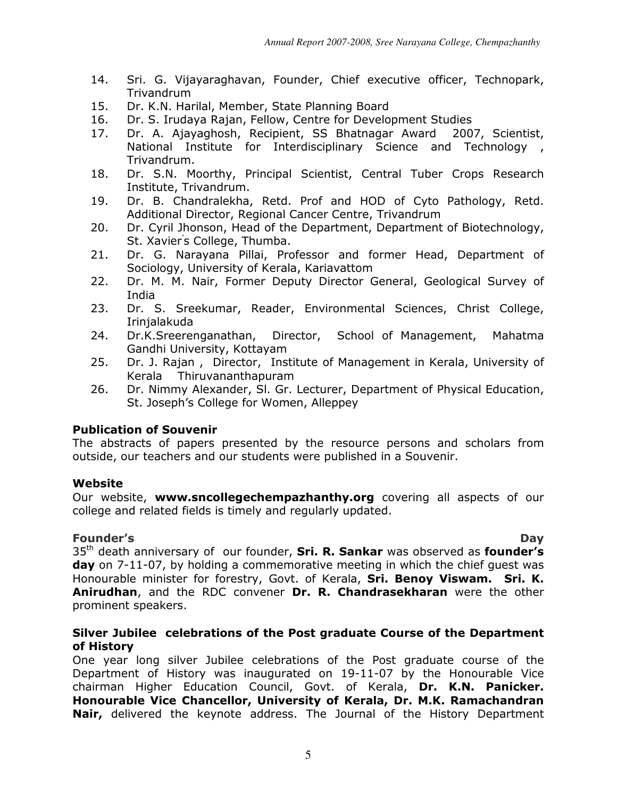- 14. Sri. G. Vijayaraghavan, Founder, Chief executive officer, Technopark, Trivandrum
- 15. Dr. K.N. Harilal, Member, State Planning Board
- 16. Dr. S. Irudaya Rajan, Fellow, Centre for Development Studies
- 17. Dr. A. Ajayaghosh, Recipient, SS Bhatnagar Award 2007, Scientist, National Institute for Interdisciplinary Science and Technology , Trivandrum.
- 18. Dr. S.N. Moorthy, Principal Scientist, Central Tuber Crops Research Institute, Trivandrum.
- 19. Dr. B. Chandralekha, Retd. Prof and HOD of Cyto Pathology, Retd. Additional Director, Regional Cancer Centre, Trivandrum
- 20. Dr. Cyril Jhonson, Head of the Department, Department of Biotechnology, St. Xavier' s College, Thumba.
- 21. Dr. G. Narayana Pillai, Professor and former Head, Department of Sociology, University of Kerala, Kariavattom
- 22. Dr. M. M. Nair, Former Deputy Director General, Geological Survey of India
- 23. Dr. S. Sreekumar, Reader, Environmental Sciences, Christ College, Irinjalakuda
- 24. Dr.K.Sreerenganathan, Director, School of Management, Mahatma Gandhi University, Kottayam
- 25. Dr. J. Rajan , Director, Institute of Management in Kerala, University of Kerala Thiruvananthapuram
- 26. Dr. Nimmy Alexander, Sl. Gr. Lecturer, Department of Physical Education, St. Joseph's College for Women, Alleppey

# Publication of Souvenir

The abstracts of papers presented by the resource persons and scholars from outside, our teachers and our students were published in a Souvenir.

# Website

Our website, www.sncollegechempazhanthy.org covering all aspects of our college and related fields is timely and regularly updated.

Founder's Day  $35<sup>th</sup>$  death anniversary of our founder, Sri. R. Sankar was observed as founder's day on 7-11-07, by holding a commemorative meeting in which the chief quest was Honourable minister for forestry, Govt. of Kerala, Sri. Benoy Viswam. Sri. K. Anirudhan, and the RDC convener Dr. R. Chandrasekharan were the other prominent speakers.

# Silver Jubilee celebrations of the Post graduate Course of the Department of History

One year long silver Jubilee celebrations of the Post graduate course of the Department of History was inaugurated on 19-11-07 by the Honourable Vice chairman Higher Education Council, Govt. of Kerala, Dr. K.N. Panicker. Honourable Vice Chancellor, University of Kerala, Dr. M.K. Ramachandran Nair, delivered the keynote address. The Journal of the History Department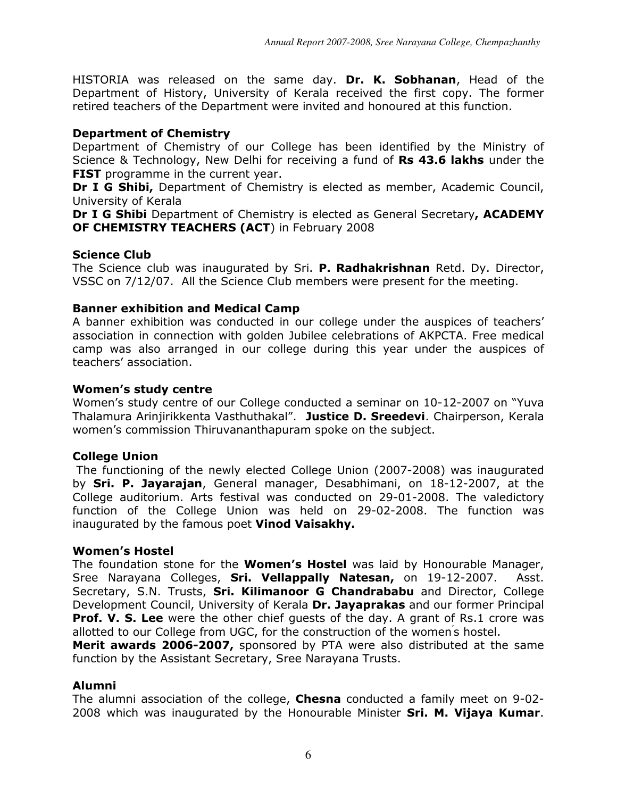HISTORIA was released on the same day. Dr. K. Sobhanan, Head of the Department of History, University of Kerala received the first copy. The former retired teachers of the Department were invited and honoured at this function.

# Department of Chemistry

Department of Chemistry of our College has been identified by the Ministry of Science & Technology, New Delhi for receiving a fund of Rs 43.6 lakhs under the **FIST** programme in the current year.

Dr I G Shibi, Department of Chemistry is elected as member, Academic Council, University of Kerala

Dr I G Shibi Department of Chemistry is elected as General Secretary, ACADEMY OF CHEMISTRY TEACHERS (ACT) in February 2008

# Science Club

The Science club was inaugurated by Sri. P. Radhakrishnan Retd. Dy. Director, VSSC on 7/12/07. All the Science Club members were present for the meeting.

# Banner exhibition and Medical Camp

A banner exhibition was conducted in our college under the auspices of teachers' association in connection with golden Jubilee celebrations of AKPCTA. Free medical camp was also arranged in our college during this year under the auspices of teachers' association.

# Women's study centre

Women's study centre of our College conducted a seminar on 10-12-2007 on "Yuva Thalamura Arinjirikkenta Vasthuthakal". Justice D. Sreedevi. Chairperson, Kerala women's commission Thiruvananthapuram spoke on the subject.

# College Union

 The functioning of the newly elected College Union (2007-2008) was inaugurated by Sri. P. Jayarajan, General manager, Desabhimani, on 18-12-2007, at the College auditorium. Arts festival was conducted on 29-01-2008. The valedictory function of the College Union was held on 29-02-2008. The function was inaugurated by the famous poet Vinod Vaisakhy.

# Women's Hostel

The foundation stone for the **Women's Hostel** was laid by Honourable Manager, Sree Narayana Colleges, **Sri. Vellappally Natesan,** on 19-12-2007. Asst. Secretary, S.N. Trusts, Sri. Kilimanoor G Chandrababu and Director, College Development Council, University of Kerala Dr. Jayaprakas and our former Principal **Prof. V. S. Lee** were the other chief guests of the day. A grant of Rs.1 crore was allotted to our College from UGC, for the construction of the women's hostel.

Merit awards 2006-2007, sponsored by PTA were also distributed at the same function by the Assistant Secretary, Sree Narayana Trusts.

# Alumni

The alumni association of the college, **Chesna** conducted a family meet on 9-02-2008 which was inaugurated by the Honourable Minister Sri. M. Vijaya Kumar.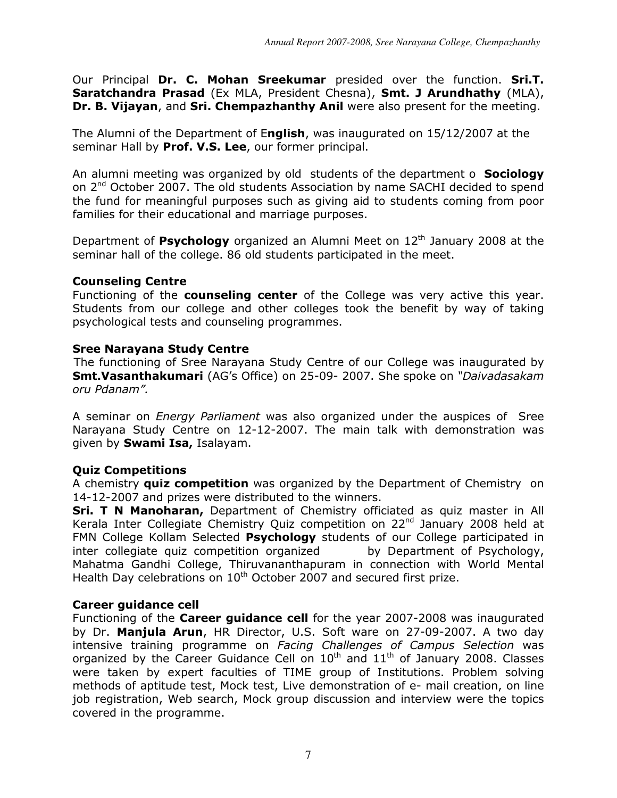Our Principal Dr. C. Mohan Sreekumar presided over the function. Sri.T. Saratchandra Prasad (Ex MLA, President Chesna), Smt. J Arundhathy (MLA), Dr. B. Vijayan, and Sri. Chempazhanthy Anil were also present for the meeting.

The Alumni of the Department of English, was inaugurated on 15/12/2007 at the seminar Hall by Prof. V.S. Lee, our former principal.

An alumni meeting was organized by old students of the department o **Sociology** on  $2^{nd}$  October 2007. The old students Association by name SACHI decided to spend the fund for meaningful purposes such as giving aid to students coming from poor families for their educational and marriage purposes.

Department of **Psychology** organized an Alumni Meet on  $12<sup>th</sup>$  January 2008 at the seminar hall of the college. 86 old students participated in the meet.

#### Counseling Centre

Functioning of the **counseling center** of the College was very active this year. Students from our college and other colleges took the benefit by way of taking psychological tests and counseling programmes.

#### Sree Narayana Study Centre

 The functioning of Sree Narayana Study Centre of our College was inaugurated by **Smt.Vasanthakumari** (AG's Office) on 25-09- 2007. She spoke on "Daivadasakam oru Pdanam".

A seminar on Energy Parliament was also organized under the auspices of Sree Narayana Study Centre on 12-12-2007. The main talk with demonstration was given by **Swami Isa, Isalayam.** 

# Quiz Competitions

A chemistry **quiz competition** was organized by the Department of Chemistry on 14-12-2007 and prizes were distributed to the winners.

Sri. T N Manoharan, Department of Chemistry officiated as quiz master in All Kerala Inter Collegiate Chemistry Quiz competition on 22<sup>nd</sup> January 2008 held at FMN College Kollam Selected Psychology students of our College participated in inter collegiate quiz competition organized by Department of Psychology, Mahatma Gandhi College, Thiruvananthapuram in connection with World Mental Health Day celebrations on  $10<sup>th</sup>$  October 2007 and secured first prize.

#### Career guidance cell

Functioning of the Career guidance cell for the year 2007-2008 was inaugurated by Dr. Manjula Arun, HR Director, U.S. Soft ware on 27-09-2007. A two day intensive training programme on Facing Challenges of Campus Selection was organized by the Career Guidance Cell on  $10^{th}$  and  $11^{th}$  of January 2008. Classes were taken by expert faculties of TIME group of Institutions. Problem solving methods of aptitude test, Mock test, Live demonstration of e- mail creation, on line job registration, Web search, Mock group discussion and interview were the topics covered in the programme.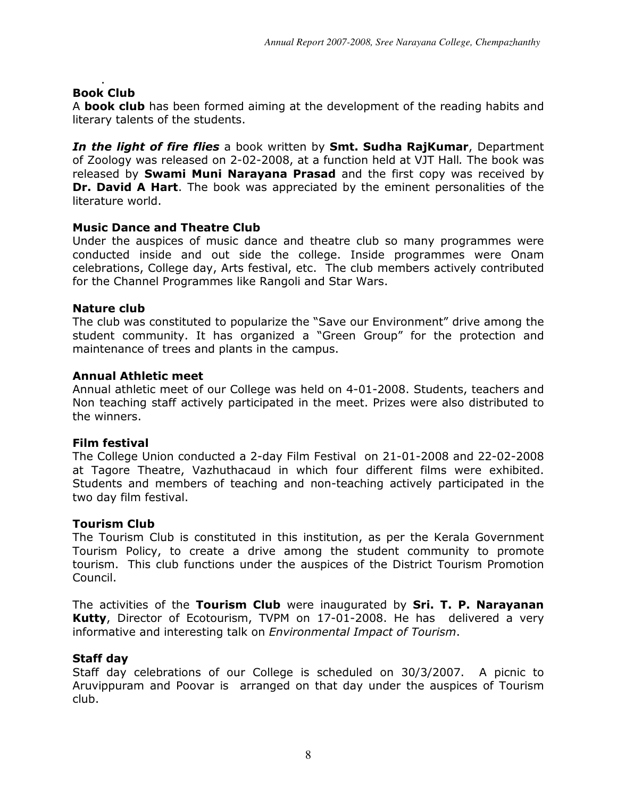#### . Book Club

A **book club** has been formed aiming at the development of the reading habits and literary talents of the students.

In the light of fire flies a book written by Smt. Sudha RajKumar, Department of Zoology was released on 2-02-2008, at a function held at VJT Hall. The book was released by **Swami Muni Narayana Prasad** and the first copy was received by **Dr. David A Hart.** The book was appreciated by the eminent personalities of the literature world.

# Music Dance and Theatre Club

Under the auspices of music dance and theatre club so many programmes were conducted inside and out side the college. Inside programmes were Onam celebrations, College day, Arts festival, etc. The club members actively contributed for the Channel Programmes like Rangoli and Star Wars.

#### Nature club

The club was constituted to popularize the "Save our Environment" drive among the student community. It has organized a "Green Group" for the protection and maintenance of trees and plants in the campus.

#### Annual Athletic meet

Annual athletic meet of our College was held on 4-01-2008. Students, teachers and Non teaching staff actively participated in the meet. Prizes were also distributed to the winners.

#### Film festival

The College Union conducted a 2-day Film Festival on 21-01-2008 and 22-02-2008 at Tagore Theatre, Vazhuthacaud in which four different films were exhibited. Students and members of teaching and non-teaching actively participated in the two day film festival.

# Tourism Club

The Tourism Club is constituted in this institution, as per the Kerala Government Tourism Policy, to create a drive among the student community to promote tourism. This club functions under the auspices of the District Tourism Promotion Council.

The activities of the Tourism Club were inaugurated by Sri. T. P. Narayanan Kutty, Director of Ecotourism, TVPM on 17-01-2008. He has delivered a very informative and interesting talk on Environmental Impact of Tourism.

# Staff day

Staff day celebrations of our College is scheduled on 30/3/2007. A picnic to Aruvippuram and Poovar is arranged on that day under the auspices of Tourism club.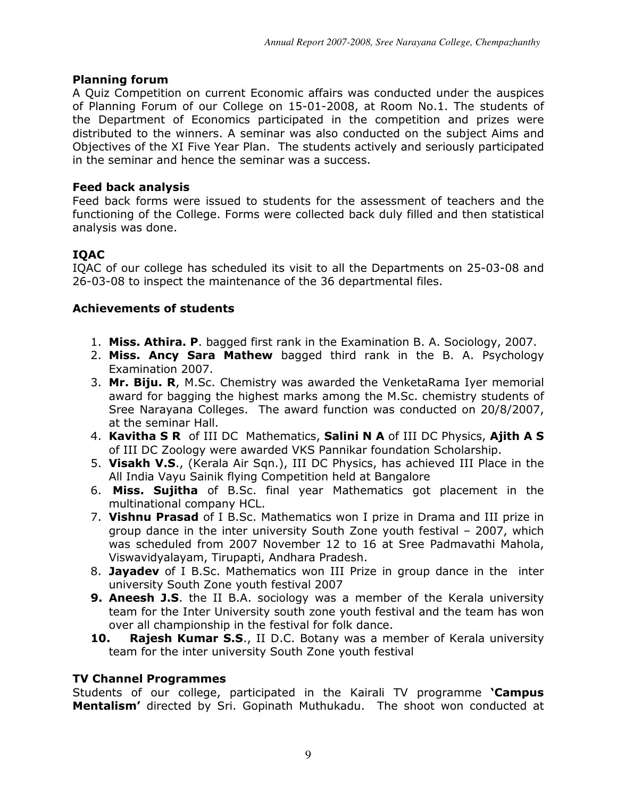# Planning forum

A Quiz Competition on current Economic affairs was conducted under the auspices of Planning Forum of our College on 15-01-2008, at Room No.1. The students of the Department of Economics participated in the competition and prizes were distributed to the winners. A seminar was also conducted on the subject Aims and Objectives of the XI Five Year Plan. The students actively and seriously participated in the seminar and hence the seminar was a success.

# Feed back analysis

Feed back forms were issued to students for the assessment of teachers and the functioning of the College. Forms were collected back duly filled and then statistical analysis was done.

# IQAC

IQAC of our college has scheduled its visit to all the Departments on 25-03-08 and 26-03-08 to inspect the maintenance of the 36 departmental files.

# Achievements of students

- 1. Miss. Athira. P. bagged first rank in the Examination B. A. Sociology, 2007.
- 2. Miss. Ancy Sara Mathew bagged third rank in the B. A. Psychology Examination 2007.
- 3. Mr. Biju. R, M.Sc. Chemistry was awarded the VenketaRama Iyer memorial award for bagging the highest marks among the M.Sc. chemistry students of Sree Narayana Colleges. The award function was conducted on 20/8/2007, at the seminar Hall.
- 4. Kavitha S R of III DC Mathematics, Salini N A of III DC Physics, Ajith A S of III DC Zoology were awarded VKS Pannikar foundation Scholarship.
- 5. Visakh V.S., (Kerala Air Sqn.), III DC Physics, has achieved III Place in the All India Vayu Sainik flying Competition held at Bangalore
- 6. Miss. Sujitha of B.Sc. final year Mathematics got placement in the multinational company HCL.
- 7. Vishnu Prasad of I B.Sc. Mathematics won I prize in Drama and III prize in group dance in the inter university South Zone youth festival – 2007, which was scheduled from 2007 November 12 to 16 at Sree Padmavathi Mahola, Viswavidyalayam, Tirupapti, Andhara Pradesh.
- 8. Jayadev of I B.Sc. Mathematics won III Prize in group dance in the inter university South Zone youth festival 2007
- **9. Aneesh J.S.** the II B.A. sociology was a member of the Kerala university team for the Inter University south zone youth festival and the team has won over all championship in the festival for folk dance.
- 10. Rajesh Kumar S.S., II D.C. Botany was a member of Kerala university team for the inter university South Zone youth festival

# TV Channel Programmes

Students of our college, participated in the Kairali TV programme 'Campus Mentalism' directed by Sri. Gopinath Muthukadu. The shoot won conducted at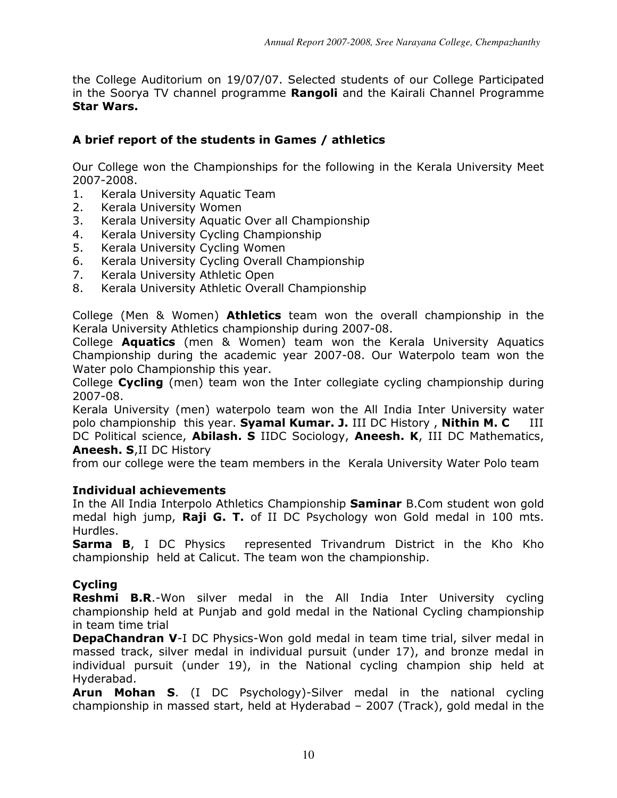the College Auditorium on 19/07/07. Selected students of our College Participated in the Soorya TV channel programme Rangoli and the Kairali Channel Programme Star Wars.

# A brief report of the students in Games / athletics

Our College won the Championships for the following in the Kerala University Meet 2007-2008.

- 1. Kerala University Aquatic Team
- 2. Kerala University Women
- 3. Kerala University Aquatic Over all Championship
- 4. Kerala University Cycling Championship
- 5. Kerala University Cycling Women
- 6. Kerala University Cycling Overall Championship
- 7. Kerala University Athletic Open
- 8. Kerala University Athletic Overall Championship

College (Men & Women) Athletics team won the overall championship in the Kerala University Athletics championship during 2007-08.

College Aquatics (men & Women) team won the Kerala University Aquatics Championship during the academic year 2007-08. Our Waterpolo team won the Water polo Championship this year.

College Cycling (men) team won the Inter collegiate cycling championship during 2007-08.

Kerala University (men) waterpolo team won the All India Inter University water polo championship this year. Syamal Kumar. J. III DC History, Nithin M. C DC Political science, Abilash. S IIDC Sociology, Aneesh. K, III DC Mathematics, Aneesh. S,II DC History

from our college were the team members in the Kerala University Water Polo team

# Individual achievements

In the All India Interpolo Athletics Championship Saminar B.Com student won gold medal high jump, **Raji G. T.** of II DC Psychology won Gold medal in 100 mts. Hurdles.

**Sarma B,** I DC Physics represented Trivandrum District in the Kho Kho championship held at Calicut. The team won the championship.

# Cycling

Reshmi B.R.-Won silver medal in the All India Inter University cycling championship held at Punjab and gold medal in the National Cycling championship in team time trial

**DepaChandran V-I DC Physics-Won gold medal in team time trial, silver medal in** massed track, silver medal in individual pursuit (under 17), and bronze medal in individual pursuit (under 19), in the National cycling champion ship held at Hyderabad.

Arun Mohan S. (I DC Psychology)-Silver medal in the national cycling championship in massed start, held at Hyderabad – 2007 (Track), gold medal in the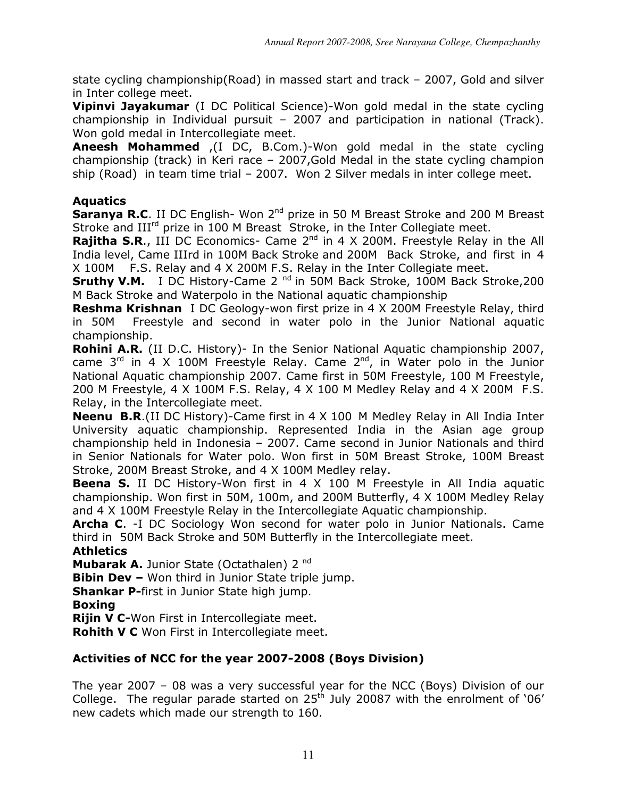state cycling championship(Road) in massed start and track – 2007, Gold and silver in Inter college meet.

**Vipinvi Jayakumar** (I DC Political Science)-Won gold medal in the state cycling championship in Individual pursuit – 2007 and participation in national (Track). Won gold medal in Intercollegiate meet.

Aneesh Mohammed ,(I DC, B.Com.)-Won gold medal in the state cycling championship (track) in Keri race – 2007,Gold Medal in the state cycling champion ship (Road) in team time trial – 2007. Won 2 Silver medals in inter college meet.

# Aquatics

**Saranya R.C.** II DC English- Won  $2^{nd}$  prize in 50 M Breast Stroke and 200 M Breast Stroke and III<sup>rd</sup> prize in 100 M Breast Stroke, in the Inter Collegiate meet.

**Rajitha S.R., III DC Economics- Came 2<sup>nd</sup> in 4 X 200M. Freestyle Relay in the All** India level, Came IIIrd in 100M Back Stroke and 200M Back Stroke, and first in 4 X 100M F.S. Relay and 4 X 200M F.S. Relay in the Inter Collegiate meet.

**Sruthy V.M.** I DC History-Came 2<sup>nd</sup> in 50M Back Stroke, 100M Back Stroke, 200 M Back Stroke and Waterpolo in the National aquatic championship

Reshma Krishnan I DC Geology-won first prize in 4 X 200M Freestyle Relay, third in 50M Freestyle and second in water polo in the Junior National aquatic championship.

Rohini A.R. (II D.C. History)- In the Senior National Aquatic championship 2007, came  $3^{rd}$  in  $4 \times 100M$  Freestyle Relay. Came  $2^{nd}$ , in Water polo in the Junior National Aquatic championship 2007. Came first in 50M Freestyle, 100 M Freestyle, 200 M Freestyle, 4 X 100M F.S. Relay, 4 X 100 M Medley Relay and 4 X 200M F.S. Relay, in the Intercollegiate meet.

Neenu B.R.(II DC History)-Came first in 4 X 100 M Medley Relay in All India Inter University aquatic championship. Represented India in the Asian age group championship held in Indonesia – 2007. Came second in Junior Nationals and third in Senior Nationals for Water polo. Won first in 50M Breast Stroke, 100M Breast Stroke, 200M Breast Stroke, and 4 X 100M Medley relay.

**Beena S.** II DC History-Won first in 4 X 100 M Freestyle in All India aquatic championship. Won first in 50M, 100m, and 200M Butterfly, 4 X 100M Medley Relay and 4 X 100M Freestyle Relay in the Intercollegiate Aquatic championship.

**Archa C.** -I DC Sociology Won second for water polo in Junior Nationals. Came third in 50M Back Stroke and 50M Butterfly in the Intercollegiate meet.

# **Athletics**

Mubarak A. Junior State (Octathalen) 2<sup>nd</sup>

**Bibin Dev -** Won third in Junior State triple jump.

**Shankar P-first in Junior State high jump.** 

# Boxing

**Rijin V C-**Won First in Intercollegiate meet.

Rohith V C Won First in Intercollegiate meet.

# Activities of NCC for the year 2007-2008 (Boys Division)

The year 2007 – 08 was a very successful year for the NCC (Boys) Division of our College. The regular parade started on 25<sup>th</sup> July 20087 with the enrolment of '06' new cadets which made our strength to 160.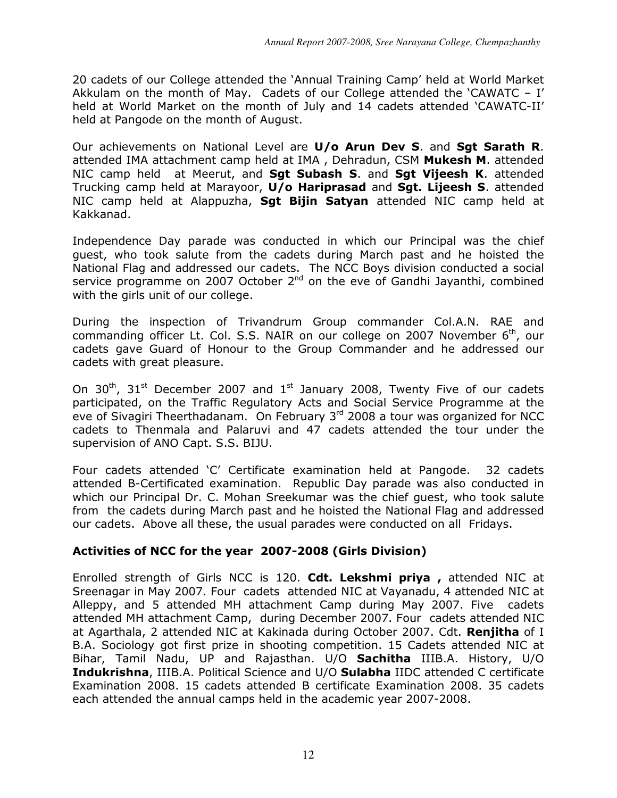20 cadets of our College attended the 'Annual Training Camp' held at World Market Akkulam on the month of May. Cadets of our College attended the 'CAWATC – I' held at World Market on the month of July and 14 cadets attended 'CAWATC-II' held at Pangode on the month of August.

Our achievements on National Level are U/o Arun Dev S. and Sgt Sarath R. attended IMA attachment camp held at IMA, Dehradun, CSM Mukesh M. attended NIC camp held at Meerut, and Sqt Subash S. and Sqt Vijeesh K. attended Trucking camp held at Marayoor, U/o Hariprasad and Sgt. Lijeesh S. attended NIC camp held at Alappuzha, Sgt Bijin Satyan attended NIC camp held at Kakkanad.

Independence Day parade was conducted in which our Principal was the chief guest, who took salute from the cadets during March past and he hoisted the National Flag and addressed our cadets. The NCC Boys division conducted a social service programme on 2007 October  $2^{nd}$  on the eve of Gandhi Jayanthi, combined with the girls unit of our college.

During the inspection of Trivandrum Group commander Col.A.N. RAE and commanding officer Lt. Col. S.S. NAIR on our college on 2007 November 6<sup>th</sup>, our cadets gave Guard of Honour to the Group Commander and he addressed our cadets with great pleasure.

On  $30<sup>th</sup>$ ,  $31<sup>st</sup>$  December 2007 and  $1<sup>st</sup>$  January 2008, Twenty Five of our cadets participated, on the Traffic Regulatory Acts and Social Service Programme at the eve of Sivagiri Theerthadanam. On February 3rd 2008 a tour was organized for NCC cadets to Thenmala and Palaruvi and 47 cadets attended the tour under the supervision of ANO Capt. S.S. BIJU.

Four cadets attended 'C' Certificate examination held at Pangode. 32 cadets attended B-Certificated examination. Republic Day parade was also conducted in which our Principal Dr. C. Mohan Sreekumar was the chief guest, who took salute from the cadets during March past and he hoisted the National Flag and addressed our cadets. Above all these, the usual parades were conducted on all Fridays.

# Activities of NCC for the year 2007-2008 (Girls Division)

Enrolled strength of Girls NCC is 120. Cdt. Lekshmi priya, attended NIC at Sreenagar in May 2007. Four cadets attended NIC at Vayanadu, 4 attended NIC at Alleppy, and 5 attended MH attachment Camp during May 2007. Five cadets attended MH attachment Camp, during December 2007. Four cadets attended NIC at Agarthala, 2 attended NIC at Kakinada during October 2007. Cdt. Renjitha of I B.A. Sociology got first prize in shooting competition. 15 Cadets attended NIC at Bihar, Tamil Nadu, UP and Rajasthan. U/O Sachitha IIIB.A. History, U/O Indukrishna, IIIB.A. Political Science and U/O Sulabha IIDC attended C certificate Examination 2008. 15 cadets attended B certificate Examination 2008. 35 cadets each attended the annual camps held in the academic year 2007-2008.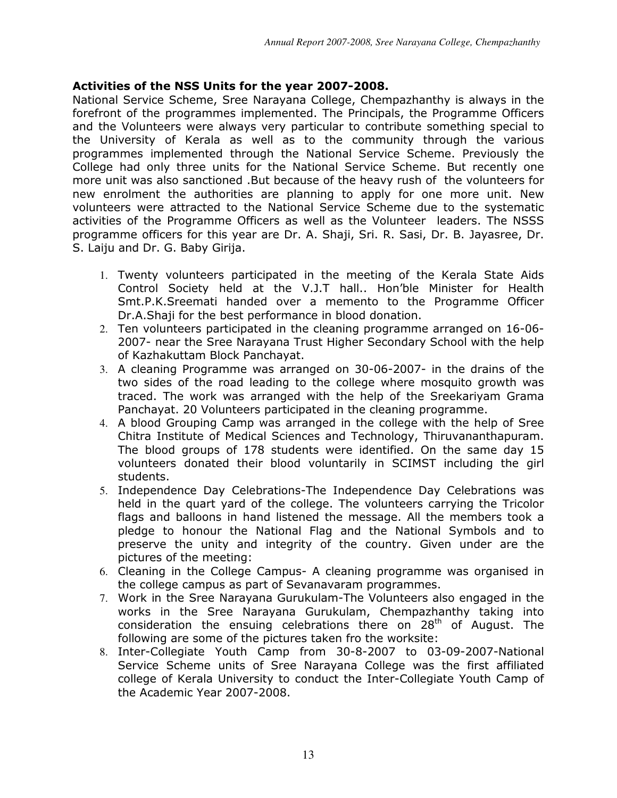# Activities of the NSS Units for the year 2007-2008.

National Service Scheme, Sree Narayana College, Chempazhanthy is always in the forefront of the programmes implemented. The Principals, the Programme Officers and the Volunteers were always very particular to contribute something special to the University of Kerala as well as to the community through the various programmes implemented through the National Service Scheme. Previously the College had only three units for the National Service Scheme. But recently one more unit was also sanctioned .But because of the heavy rush of the volunteers for new enrolment the authorities are planning to apply for one more unit. New volunteers were attracted to the National Service Scheme due to the systematic activities of the Programme Officers as well as the Volunteer leaders. The NSSS programme officers for this year are Dr. A. Shaji, Sri. R. Sasi, Dr. B. Jayasree, Dr. S. Laiju and Dr. G. Baby Girija.

- 1. Twenty volunteers participated in the meeting of the Kerala State Aids Control Society held at the V.J.T hall.. Hon'ble Minister for Health Smt.P.K.Sreemati handed over a memento to the Programme Officer Dr.A.Shaji for the best performance in blood donation.
- 2. Ten volunteers participated in the cleaning programme arranged on 16-06- 2007- near the Sree Narayana Trust Higher Secondary School with the help of Kazhakuttam Block Panchayat.
- 3. A cleaning Programme was arranged on 30-06-2007- in the drains of the two sides of the road leading to the college where mosquito growth was traced. The work was arranged with the help of the Sreekariyam Grama Panchayat. 20 Volunteers participated in the cleaning programme.
- 4. A blood Grouping Camp was arranged in the college with the help of Sree Chitra Institute of Medical Sciences and Technology, Thiruvananthapuram. The blood groups of 178 students were identified. On the same day 15 volunteers donated their blood voluntarily in SCIMST including the girl students.
- 5. Independence Day Celebrations-The Independence Day Celebrations was held in the quart yard of the college. The volunteers carrying the Tricolor flags and balloons in hand listened the message. All the members took a pledge to honour the National Flag and the National Symbols and to preserve the unity and integrity of the country. Given under are the pictures of the meeting:
- 6. Cleaning in the College Campus- A cleaning programme was organised in the college campus as part of Sevanavaram programmes.
- 7. Work in the Sree Narayana Gurukulam-The Volunteers also engaged in the works in the Sree Narayana Gurukulam, Chempazhanthy taking into consideration the ensuing celebrations there on  $28<sup>th</sup>$  of August. The following are some of the pictures taken fro the worksite:
- 8. Inter-Collegiate Youth Camp from 30-8-2007 to 03-09-2007-National Service Scheme units of Sree Narayana College was the first affiliated college of Kerala University to conduct the Inter-Collegiate Youth Camp of the Academic Year 2007-2008.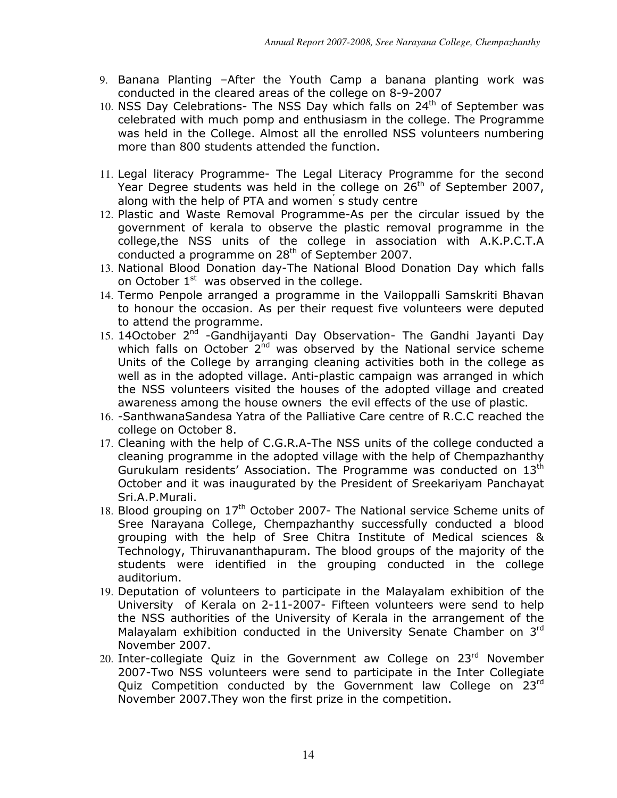- 9. Banana Planting –After the Youth Camp a banana planting work was conducted in the cleared areas of the college on 8-9-2007
- 10. NSS Day Celebrations- The NSS Day which falls on  $24<sup>th</sup>$  of September was celebrated with much pomp and enthusiasm in the college. The Programme was held in the College. Almost all the enrolled NSS volunteers numbering more than 800 students attended the function.
- 11. Legal literacy Programme- The Legal Literacy Programme for the second Year Degree students was held in the college on  $26<sup>th</sup>$  of September 2007, along with the help of PTA and women<sup>'</sup> s study centre
- 12. Plastic and Waste Removal Programme-As per the circular issued by the government of kerala to observe the plastic removal programme in the college,the NSS units of the college in association with A.K.P.C.T.A conducted a programme on 28<sup>th</sup> of September 2007.
- 13. National Blood Donation day-The National Blood Donation Day which falls on October  $1<sup>st</sup>$  was observed in the college.
- 14. Termo Penpole arranged a programme in the Vailoppalli Samskriti Bhavan to honour the occasion. As per their request five volunteers were deputed to attend the programme.
- 15. 14October 2<sup>nd</sup> -Gandhijayanti Day Observation- The Gandhi Jayanti Day which falls on October  $2^{nd}$  was observed by the National service scheme Units of the College by arranging cleaning activities both in the college as well as in the adopted village. Anti-plastic campaign was arranged in which the NSS volunteers visited the houses of the adopted village and created awareness among the house owners the evil effects of the use of plastic.
- 16. -SanthwanaSandesa Yatra of the Palliative Care centre of R.C.C reached the college on October 8.
- 17. Cleaning with the help of C.G.R.A-The NSS units of the college conducted a cleaning programme in the adopted village with the help of Chempazhanthy Gurukulam residents' Association. The Programme was conducted on 13<sup>th</sup> October and it was inaugurated by the President of Sreekariyam Panchayat Sri.A.P.Murali.
- 18. Blood grouping on  $17<sup>th</sup>$  October 2007- The National service Scheme units of Sree Narayana College, Chempazhanthy successfully conducted a blood grouping with the help of Sree Chitra Institute of Medical sciences & Technology, Thiruvananthapuram. The blood groups of the majority of the students were identified in the grouping conducted in the college auditorium.
- 19. Deputation of volunteers to participate in the Malayalam exhibition of the University of Kerala on 2-11-2007- Fifteen volunteers were send to help the NSS authorities of the University of Kerala in the arrangement of the Malayalam exhibition conducted in the University Senate Chamber on 3rd November 2007.
- 20. Inter-collegiate Quiz in the Government aw College on  $23<sup>rd</sup>$  November 2007-Two NSS volunteers were send to participate in the Inter Collegiate Quiz Competition conducted by the Government law College on 23rd November 2007.They won the first prize in the competition.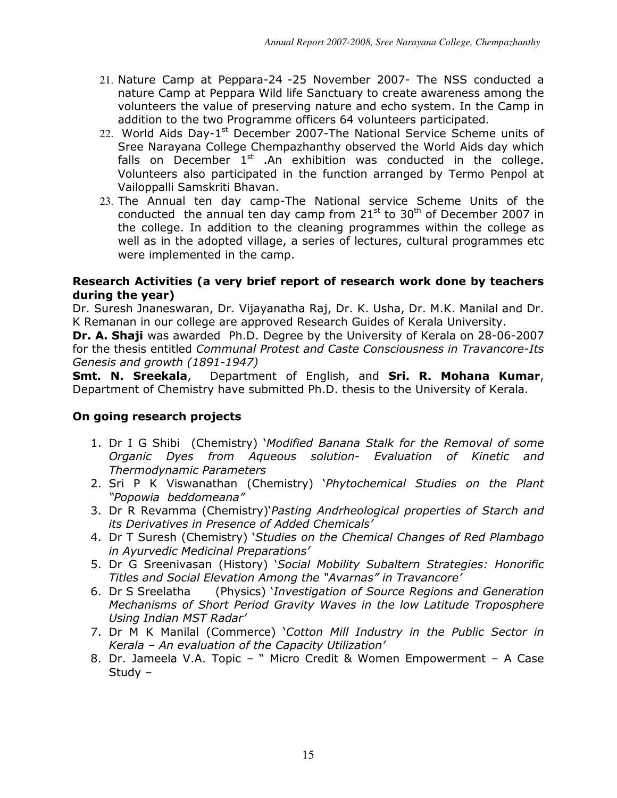- 21. Nature Camp at Peppara-24 -25 November 2007- The NSS conducted a nature Camp at Peppara Wild life Sanctuary to create awareness among the volunteers the value of preserving nature and echo system. In the Camp in addition to the two Programme officers 64 volunteers participated.
- 22. World Aids Day-1<sup>st</sup> December 2007-The National Service Scheme units of Sree Narayana College Chempazhanthy observed the World Aids day which falls on December  $1<sup>st</sup>$  .An exhibition was conducted in the college. Volunteers also participated in the function arranged by Termo Penpol at Vailoppalli Samskriti Bhavan.
- 23. The Annual ten day camp-The National service Scheme Units of the conducted the annual ten day camp from  $21<sup>st</sup>$  to  $30<sup>th</sup>$  of December 2007 in the college. In addition to the cleaning programmes within the college as well as in the adopted village, a series of lectures, cultural programmes etc were implemented in the camp.

# Research Activities (a very brief report of research work done by teachers during the year)

Dr. Suresh Jnaneswaran, Dr. Vijayanatha Raj, Dr. K. Usha, Dr. M.K. Manilal and Dr. K Remanan in our college are approved Research Guides of Kerala University.

Dr. A. Shaji was awarded Ph.D. Degree by the University of Kerala on 28-06-2007 for the thesis entitled Communal Protest and Caste Consciousness in Travancore-Its Genesis and growth (1891-1947)

Smt. N. Sreekala, Department of English, and Sri. R. Mohana Kumar, Department of Chemistry have submitted Ph.D. thesis to the University of Kerala.

# On going research projects

- 1. Dr I G Shibi (Chemistry) 'Modified Banana Stalk for the Removal of some Organic Dyes from Aqueous solution- Evaluation of Kinetic and Thermodynamic Parameters
- 2. Sri P K Viswanathan (Chemistry) 'Phytochemical Studies on the Plant "Popowia beddomeana"
- 3. Dr R Revamma (Chemistry)'Pasting Andrheological properties of Starch and its Derivatives in Presence of Added Chemicals'
- 4. Dr T Suresh (Chemistry) 'Studies on the Chemical Changes of Red Plambago in Ayurvedic Medicinal Preparations'
- 5. Dr G Sreenivasan (History) 'Social Mobility Subaltern Strategies: Honorific Titles and Social Elevation Among the "Avarnas" in Travancore'
- 6. Dr S Sreelatha (Physics) 'Investigation of Source Regions and Generation Mechanisms of Short Period Gravity Waves in the low Latitude Troposphere Using Indian MST Radar'
- 7. Dr M K Manilal (Commerce) 'Cotton Mill Industry in the Public Sector in Kerala – An evaluation of the Capacity Utilization'
- 8. Dr. Jameela V.A. Topic " Micro Credit & Women Empowerment A Case Study –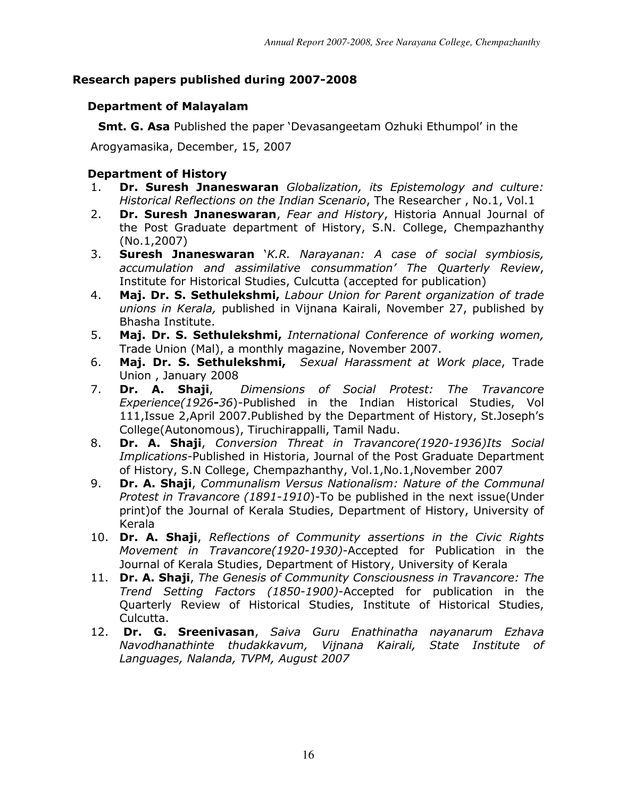# Research papers published during 2007-2008

# Department of Malayalam

**Smt. G. Asa** Published the paper 'Devasangeetam Ozhuki Ethumpol' in the

Arogyamasika, December, 15, 2007

# Department of History

- 1. Dr. Suresh Jnaneswaran Globalization, its Epistemology and culture: Historical Reflections on the Indian Scenario, The Researcher , No.1, Vol.1
- 2. Dr. Suresh Jnaneswaran, Fear and History, Historia Annual Journal of the Post Graduate department of History, S.N. College, Chempazhanthy (No.1,2007)
- 3. Suresh Jnaneswaran Y.R. Narayanan: A case of social symbiosis, accumulation and assimilative consummation' The Quarterly Review, Institute for Historical Studies, Culcutta (accepted for publication)
- 4. Maj. Dr. S. Sethulekshmi, Labour Union for Parent organization of trade unions in Kerala, published in Vijnana Kairali, November 27, published bv Bhasha Institute.
- 5. Maj. Dr. S. Sethulekshmi, International Conference of working women, Trade Union (Mal), a monthly magazine, November 2007.
- 6. Maj. Dr. S. Sethulekshmi, Sexual Harassment at Work place, Trade Union , January 2008
- 7. Dr. A. Shaji, Dimensions of Social Protest: The Travancore Experience(1926-36)-Published in the Indian Historical Studies, Vol 111,Issue 2,April 2007.Published by the Department of History, St.Joseph's College(Autonomous), Tiruchirappalli, Tamil Nadu.
- 8. Dr. A. Shaji, Conversion Threat in Travancore(1920-1936)Its Social Implications-Published in Historia, Journal of the Post Graduate Department of History, S.N College, Chempazhanthy, Vol.1,No.1,November 2007
- 9. **Dr. A. Shaji**, Communalism Versus Nationalism: Nature of the Communal Protest in Travancore (1891-1910)-To be published in the next issue(Under print)of the Journal of Kerala Studies, Department of History, University of Kerala
- 10. Dr. A. Shaji, Reflections of Community assertions in the Civic Rights Movement in Travancore(1920-1930)-Accepted for Publication in the Journal of Kerala Studies, Department of History, University of Kerala
- 11. Dr. A. Shaji, The Genesis of Community Consciousness in Travancore: The Trend Setting Factors (1850-1900)-Accepted for publication in the Quarterly Review of Historical Studies, Institute of Historical Studies, Culcutta.
- 12. Dr. G. Sreenivasan, Saiva Guru Enathinatha nayanarum Ezhava Navodhanathinte thudakkavum, Vijnana Kairali, State Institute of Languages, Nalanda, TVPM, August 2007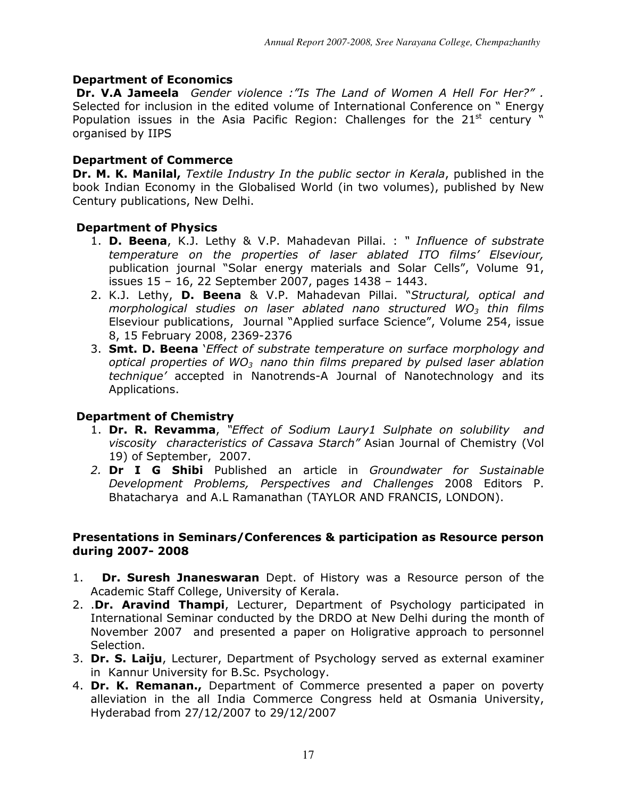# Department of Economics

Dr. V.A Jameela Gender violence : "Is The Land of Women A Hell For Her?". Selected for inclusion in the edited volume of International Conference on " Energy Population issues in the Asia Pacific Region: Challenges for the  $21<sup>st</sup>$  century " organised by IIPS

# Department of Commerce

Dr. M. K. Manilal, Textile Industry In the public sector in Kerala, published in the book Indian Economy in the Globalised World (in two volumes), published by New Century publications, New Delhi.

# Department of Physics

- 1. D. Beena, K.J. Lethy & V.P. Mahadevan Pillai. : " Influence of substrate temperature on the properties of laser ablated ITO films' Elseviour, publication journal "Solar energy materials and Solar Cells", Volume 91, issues 15 – 16, 22 September 2007, pages 1438 – 1443.
- 2. K.J. Lethy, D. Beena & V.P. Mahadevan Pillai. "Structural, optical and morphological studies on laser ablated nano structured  $WO<sub>3</sub>$  thin films Elseviour publications, Journal "Applied surface Science", Volume 254, issue 8, 15 February 2008, 2369-2376
- 3. **Smt. D. Beena** *`Effect of substrate temperature on surface morphology and* optical properties of WO<sub>3</sub> nano thin films prepared by pulsed laser ablation technique' accepted in Nanotrends-A Journal of Nanotechnology and its Applications.

# Department of Chemistry

- 1. Dr. R. Revamma, "Effect of Sodium Laury1 Sulphate on solubility and viscosity characteristics of Cassava Starch" Asian Journal of Chemistry (Vol 19) of September, 2007.
- 2. Dr I G Shibi Published an article in Groundwater for Sustainable Development Problems, Perspectives and Challenges 2008 Editors P. Bhatacharya and A.L Ramanathan (TAYLOR AND FRANCIS, LONDON).

#### Presentations in Seminars/Conferences & participation as Resource person during 2007- 2008

- 1. **Dr. Suresh Jnaneswaran** Dept. of History was a Resource person of the Academic Staff College, University of Kerala.
- 2. **Dr. Aravind Thampi**, Lecturer, Department of Psychology participated in International Seminar conducted by the DRDO at New Delhi during the month of November 2007 and presented a paper on Holigrative approach to personnel Selection.
- 3. Dr. S. Laiju, Lecturer, Department of Psychology served as external examiner in Kannur University for B.Sc. Psychology.
- 4. Dr. K. Remanan., Department of Commerce presented a paper on poverty alleviation in the all India Commerce Congress held at Osmania University, Hyderabad from 27/12/2007 to 29/12/2007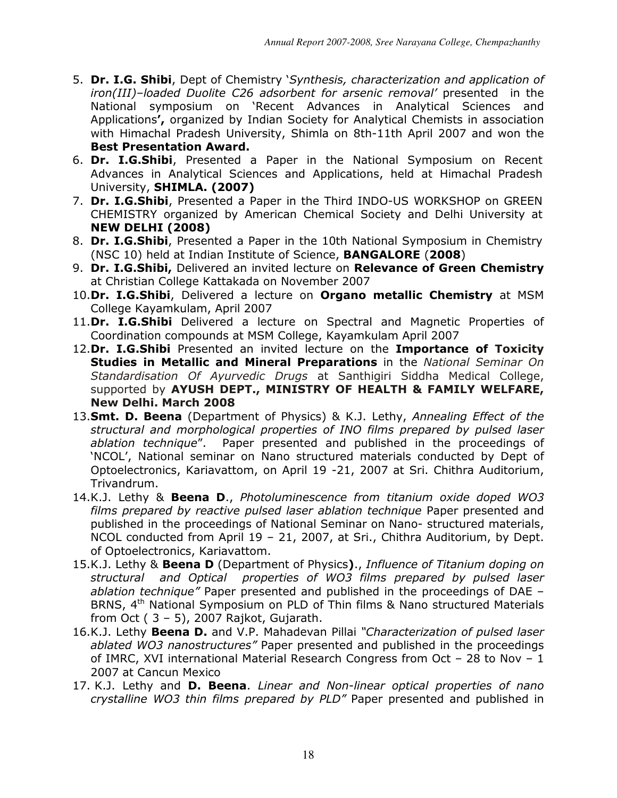- 5. Dr. I.G. Shibi, Dept of Chemistry 'Synthesis, characterization and application of iron(III)–loaded Duolite C26 adsorbent for arsenic removal' presented in the National symposium on 'Recent Advances in Analytical Sciences and Applications', organized by Indian Society for Analytical Chemists in association with Himachal Pradesh University, Shimla on 8th-11th April 2007 and won the Best Presentation Award.
- 6. Dr. I.G.Shibi, Presented a Paper in the National Symposium on Recent Advances in Analytical Sciences and Applications, held at Himachal Pradesh University, SHIMLA. (2007)
- 7. Dr. I.G.Shibi, Presented a Paper in the Third INDO-US WORKSHOP on GREEN CHEMISTRY organized by American Chemical Society and Delhi University at NEW DELHI (2008)
- 8. Dr. I.G. Shibi, Presented a Paper in the 10th National Symposium in Chemistry (NSC 10) held at Indian Institute of Science, BANGALORE (2008)
- 9. Dr. I.G.Shibi, Delivered an invited lecture on Relevance of Green Chemistry at Christian College Kattakada on November 2007
- 10.Dr. I.G.Shibi, Delivered a lecture on Organo metallic Chemistry at MSM College Kayamkulam, April 2007
- 11.Dr. I.G.Shibi Delivered a lecture on Spectral and Magnetic Properties of Coordination compounds at MSM College, Kayamkulam April 2007
- 12.Dr. I.G.Shibi Presented an invited lecture on the Importance of Toxicity Studies in Metallic and Mineral Preparations in the National Seminar On Standardisation Of Ayurvedic Drugs at Santhigiri Siddha Medical College, supported by AYUSH DEPT., MINISTRY OF HEALTH & FAMILY WELFARE, New Delhi. March 2008
- 13. Smt. D. Beena (Department of Physics) & K.J. Lethy, Annealing Effect of the structural and morphological properties of INO films prepared by pulsed laser ablation technique". Paper presented and published in the proceedings of 'NCOL', National seminar on Nano structured materials conducted by Dept of Optoelectronics, Kariavattom, on April 19 -21, 2007 at Sri. Chithra Auditorium, Trivandrum.
- 14.K.J. Lethy & Beena D., Photoluminescence from titanium oxide doped WO3 films prepared by reactive pulsed laser ablation technique Paper presented and published in the proceedings of National Seminar on Nano- structured materials, NCOL conducted from April 19 – 21, 2007, at Sri., Chithra Auditorium, by Dept. of Optoelectronics, Kariavattom.
- 15.K.J. Lethy & Beena D (Department of Physics)., Influence of Titanium doping on structural and Optical properties of WO3 films prepared by pulsed laser ablation technique" Paper presented and published in the proceedings of DAE -BRNS, 4<sup>th</sup> National Symposium on PLD of Thin films & Nano structured Materials from Oct  $(3 - 5)$ , 2007 Rajkot, Gujarath.
- 16.K.J. Lethy Beena D. and V.P. Mahadevan Pillai "Characterization of pulsed laser ablated WO3 nanostructures" Paper presented and published in the proceedings of IMRC, XVI international Material Research Congress from Oct – 28 to Nov – 1 2007 at Cancun Mexico
- 17. K.J. Lethy and D. Beena. Linear and Non-linear optical properties of nano crystalline WO3 thin films prepared by PLD" Paper presented and published in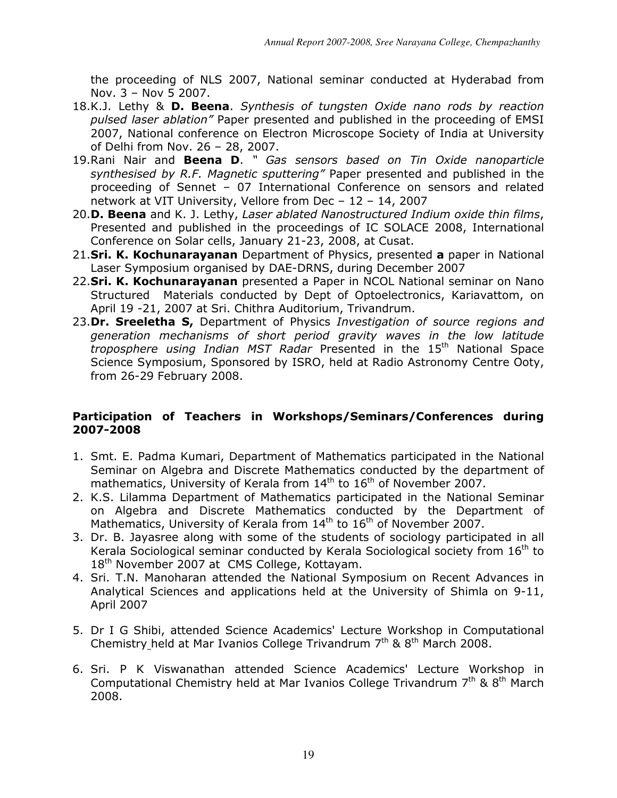the proceeding of NLS 2007, National seminar conducted at Hyderabad from Nov. 3 – Nov 5 2007.

- 18.K.J. Lethy & D. Beena. Synthesis of tungsten Oxide nano rods by reaction pulsed laser ablation" Paper presented and published in the proceeding of EMSI 2007, National conference on Electron Microscope Society of India at University of Delhi from Nov. 26 – 28, 2007.
- 19. Rani Nair and Beena D. " Gas sensors based on Tin Oxide nanoparticle synthesised by R.F. Magnetic sputtering" Paper presented and published in the proceeding of Sennet – 07 International Conference on sensors and related network at VIT University, Vellore from Dec – 12 – 14, 2007
- 20.D. Beena and K. J. Lethy, Laser ablated Nanostructured Indium oxide thin films, Presented and published in the proceedings of IC SOLACE 2008, International Conference on Solar cells, January 21-23, 2008, at Cusat.
- 21. Sri. K. Kochunarayanan Department of Physics, presented a paper in National Laser Symposium organised by DAE-DRNS, during December 2007
- 22. Sri. K. Kochunarayanan presented a Paper in NCOL National seminar on Nano Structured Materials conducted by Dept of Optoelectronics, Kariavattom, on April 19 -21, 2007 at Sri. Chithra Auditorium, Trivandrum.
- 23.Dr. Sreeletha S, Department of Physics Investigation of source regions and generation mechanisms of short period gravity waves in the low latitude troposphere using Indian MST Radar Presented in the 15<sup>th</sup> National Space Science Symposium, Sponsored by ISRO, held at Radio Astronomy Centre Ooty, from 26-29 February 2008.

# Participation of Teachers in Workshops/Seminars/Conferences during 2007-2008

- 1. Smt. E. Padma Kumari, Department of Mathematics participated in the National Seminar on Algebra and Discrete Mathematics conducted by the department of mathematics, University of Kerala from  $14<sup>th</sup>$  to  $16<sup>th</sup>$  of November 2007.
- 2. K.S. Lilamma Department of Mathematics participated in the National Seminar on Algebra and Discrete Mathematics conducted by the Department of Mathematics, University of Kerala from 14<sup>th</sup> to 16<sup>th</sup> of November 2007.
- 3. Dr. B. Jayasree along with some of the students of sociology participated in all Kerala Sociological seminar conducted by Kerala Sociological society from  $16<sup>th</sup>$  to  $18<sup>th</sup>$  November 2007 at CMS College, Kottayam.
- 4. Sri. T.N. Manoharan attended the National Symposium on Recent Advances in Analytical Sciences and applications held at the University of Shimla on 9-11, April 2007
- 5. Dr I G Shibi, attended Science Academics' Lecture Workshop in Computational Chemistry held at Mar Ivanios College Trivandrum  $7<sup>th</sup>$  &  $8<sup>th</sup>$  March 2008.
- 6. Sri. P K Viswanathan attended Science Academics' Lecture Workshop in Computational Chemistry held at Mar Ivanios College Trivandrum  $7<sup>th</sup>$  &  $8<sup>th</sup>$  March 2008.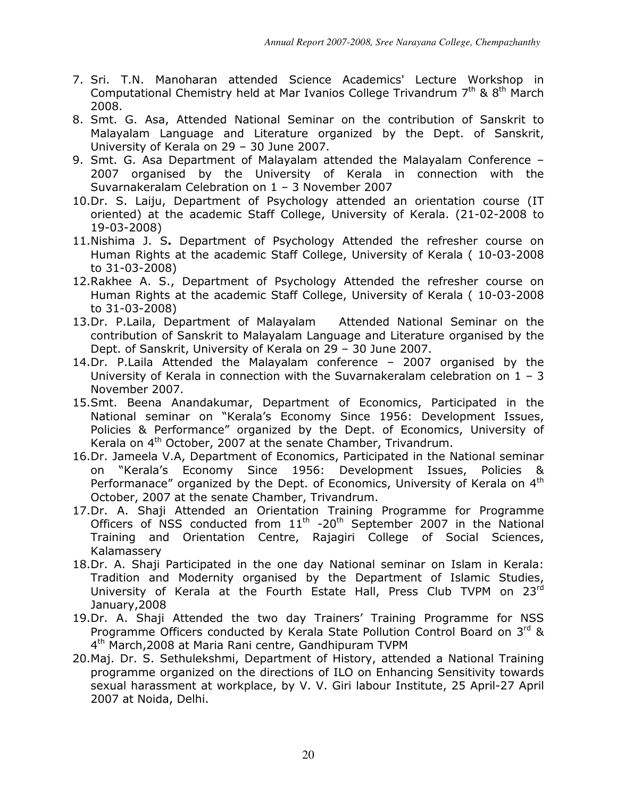- 7. Sri. T.N. Manoharan attended Science Academics' Lecture Workshop in Computational Chemistry held at Mar Ivanios College Trivandrum  $7<sup>th</sup>$  &  $8<sup>th</sup>$  March 2008.
- 8. Smt. G. Asa, Attended National Seminar on the contribution of Sanskrit to Malayalam Language and Literature organized by the Dept. of Sanskrit, University of Kerala on 29 – 30 June 2007.
- 9. Smt. G. Asa Department of Malayalam attended the Malayalam Conference 2007 organised by the University of Kerala in connection with the Suvarnakeralam Celebration on 1 – 3 November 2007
- 10.Dr. S. Laiju, Department of Psychology attended an orientation course (IT oriented) at the academic Staff College, University of Kerala. (21-02-2008 to 19-03-2008)
- 11.Nishima J. S. Department of Psychology Attended the refresher course on Human Rights at the academic Staff College, University of Kerala ( 10-03-2008 to 31-03-2008)
- 12.Rakhee A. S., Department of Psychology Attended the refresher course on Human Rights at the academic Staff College, University of Kerala ( 10-03-2008 to 31-03-2008)
- 13.Dr. P.Laila, Department of Malayalam Attended National Seminar on the contribution of Sanskrit to Malayalam Language and Literature organised by the Dept. of Sanskrit, University of Kerala on 29 – 30 June 2007.
- 14.Dr. P.Laila Attended the Malayalam conference 2007 organised by the University of Kerala in connection with the Suvarnakeralam celebration on  $1 - 3$ November 2007.
- 15.Smt. Beena Anandakumar, Department of Economics, Participated in the National seminar on "Kerala's Economy Since 1956: Development Issues, Policies & Performance" organized by the Dept. of Economics, University of Kerala on  $4<sup>th</sup>$  October, 2007 at the senate Chamber, Trivandrum.
- 16.Dr. Jameela V.A, Department of Economics, Participated in the National seminar on "Kerala's Economy Since 1956: Development Issues, Policies & Performanace" organized by the Dept. of Economics, University of Kerala on  $4<sup>th</sup>$ October, 2007 at the senate Chamber, Trivandrum.
- 17.Dr. A. Shaji Attended an Orientation Training Programme for Programme Officers of NSS conducted from  $11<sup>th</sup>$  -20<sup>th</sup> September 2007 in the National Training and Orientation Centre, Rajagiri College of Social Sciences, Kalamassery
- 18.Dr. A. Shaji Participated in the one day National seminar on Islam in Kerala: Tradition and Modernity organised by the Department of Islamic Studies, University of Kerala at the Fourth Estate Hall, Press Club TVPM on 23rd January,2008
- 19.Dr. A. Shaji Attended the two day Trainers' Training Programme for NSS Programme Officers conducted by Kerala State Pollution Control Board on  $3^{rd}$  & 4<sup>th</sup> March, 2008 at Maria Rani centre, Gandhipuram TVPM
- 20.Maj. Dr. S. Sethulekshmi, Department of History, attended a National Training programme organized on the directions of ILO on Enhancing Sensitivity towards sexual harassment at workplace, by V. V. Giri labour Institute, 25 April-27 April 2007 at Noida, Delhi.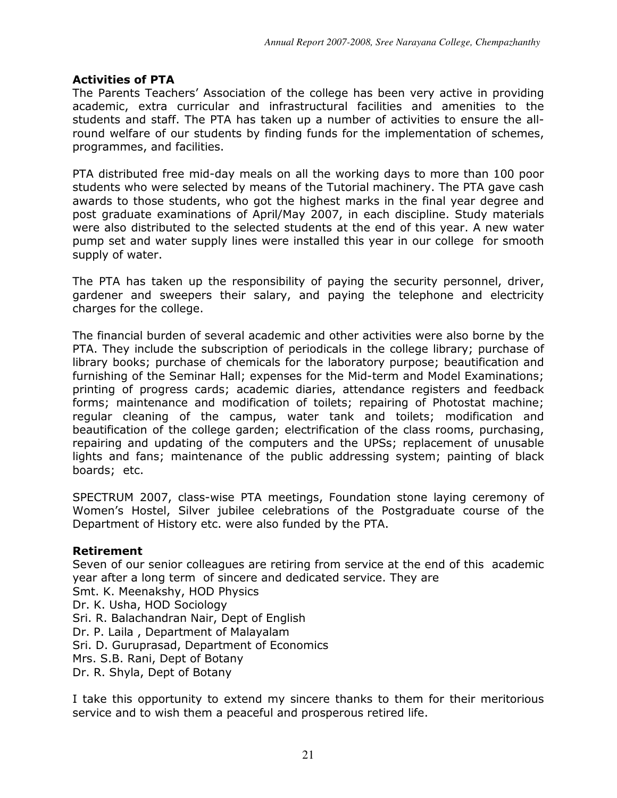# Activities of PTA

The Parents Teachers' Association of the college has been very active in providing academic, extra curricular and infrastructural facilities and amenities to the students and staff. The PTA has taken up a number of activities to ensure the allround welfare of our students by finding funds for the implementation of schemes, programmes, and facilities.

PTA distributed free mid-day meals on all the working days to more than 100 poor students who were selected by means of the Tutorial machinery. The PTA gave cash awards to those students, who got the highest marks in the final year degree and post graduate examinations of April/May 2007, in each discipline. Study materials were also distributed to the selected students at the end of this year. A new water pump set and water supply lines were installed this year in our college for smooth supply of water.

The PTA has taken up the responsibility of paying the security personnel, driver, gardener and sweepers their salary, and paying the telephone and electricity charges for the college.

The financial burden of several academic and other activities were also borne by the PTA. They include the subscription of periodicals in the college library; purchase of library books; purchase of chemicals for the laboratory purpose; beautification and furnishing of the Seminar Hall; expenses for the Mid-term and Model Examinations; printing of progress cards; academic diaries, attendance registers and feedback forms; maintenance and modification of toilets; repairing of Photostat machine; regular cleaning of the campus, water tank and toilets; modification and beautification of the college garden; electrification of the class rooms, purchasing, repairing and updating of the computers and the UPSs; replacement of unusable lights and fans; maintenance of the public addressing system; painting of black boards; etc.

SPECTRUM 2007, class-wise PTA meetings, Foundation stone laying ceremony of Women's Hostel, Silver jubilee celebrations of the Postgraduate course of the Department of History etc. were also funded by the PTA.

# Retirement

Seven of our senior colleagues are retiring from service at the end of this academic year after a long term of sincere and dedicated service. They are Smt. K. Meenakshy, HOD Physics Dr. K. Usha, HOD Sociology Sri. R. Balachandran Nair, Dept of English Dr. P. Laila , Department of Malayalam Sri. D. Guruprasad, Department of Economics Mrs. S.B. Rani, Dept of Botany Dr. R. Shyla, Dept of Botany

I take this opportunity to extend my sincere thanks to them for their meritorious service and to wish them a peaceful and prosperous retired life.